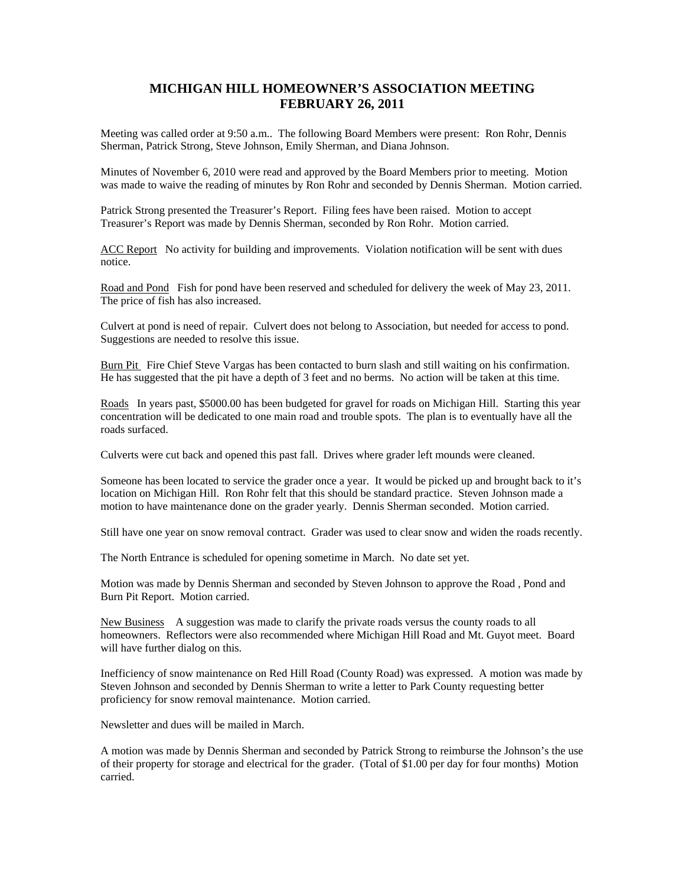## **MICHIGAN HILL HOMEOWNER'S ASSOCIATION MEETING FEBRUARY 26, 2011**

Meeting was called order at 9:50 a.m.. The following Board Members were present: Ron Rohr, Dennis Sherman, Patrick Strong, Steve Johnson, Emily Sherman, and Diana Johnson.

Minutes of November 6, 2010 were read and approved by the Board Members prior to meeting. Motion was made to waive the reading of minutes by Ron Rohr and seconded by Dennis Sherman. Motion carried.

Patrick Strong presented the Treasurer's Report. Filing fees have been raised. Motion to accept Treasurer's Report was made by Dennis Sherman, seconded by Ron Rohr. Motion carried.

ACC Report No activity for building and improvements. Violation notification will be sent with dues notice.

Road and Pond Fish for pond have been reserved and scheduled for delivery the week of May 23, 2011. The price of fish has also increased.

Culvert at pond is need of repair. Culvert does not belong to Association, but needed for access to pond. Suggestions are needed to resolve this issue.

Burn Pit Fire Chief Steve Vargas has been contacted to burn slash and still waiting on his confirmation. He has suggested that the pit have a depth of 3 feet and no berms. No action will be taken at this time.

Roads In years past, \$5000.00 has been budgeted for gravel for roads on Michigan Hill. Starting this year concentration will be dedicated to one main road and trouble spots. The plan is to eventually have all the roads surfaced.

Culverts were cut back and opened this past fall. Drives where grader left mounds were cleaned.

Someone has been located to service the grader once a year. It would be picked up and brought back to it's location on Michigan Hill. Ron Rohr felt that this should be standard practice. Steven Johnson made a motion to have maintenance done on the grader yearly. Dennis Sherman seconded. Motion carried.

Still have one year on snow removal contract. Grader was used to clear snow and widen the roads recently.

The North Entrance is scheduled for opening sometime in March. No date set yet.

Motion was made by Dennis Sherman and seconded by Steven Johnson to approve the Road, Pond and Burn Pit Report. Motion carried.

New Business A suggestion was made to clarify the private roads versus the county roads to all homeowners. Reflectors were also recommended where Michigan Hill Road and Mt. Guyot meet. Board will have further dialog on this.

Inefficiency of snow maintenance on Red Hill Road (County Road) was expressed. A motion was made by Steven Johnson and seconded by Dennis Sherman to write a letter to Park County requesting better proficiency for snow removal maintenance. Motion carried.

Newsletter and dues will be mailed in March.

A motion was made by Dennis Sherman and seconded by Patrick Strong to reimburse the Johnson's the use of their property for storage and electrical for the grader. (Total of \$1.00 per day for four months) Motion carried.